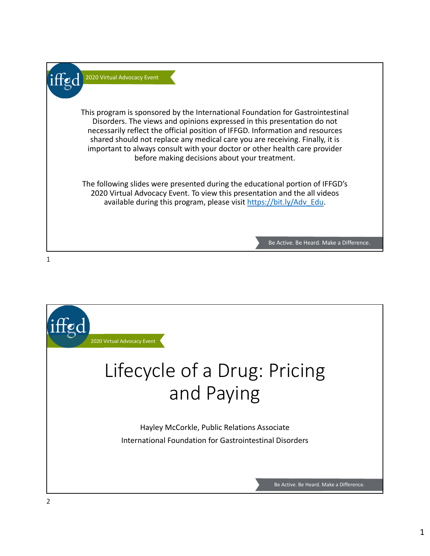

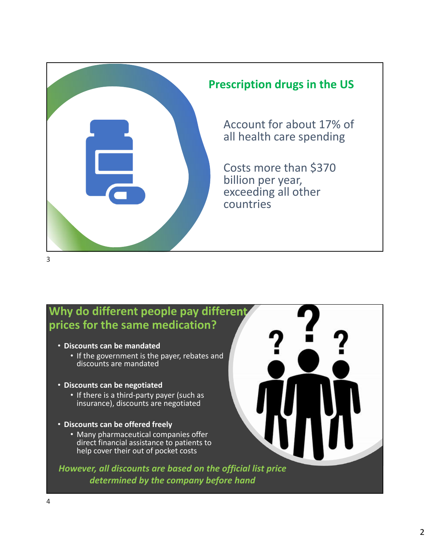

### **Why do different people pay different prices for the same medication?**

- **Discounts can be mandated**
	- If the government is the payer, rebates and discounts are mandated
- **Discounts can be negotiated**
	- If there is a third-party payer (such as insurance), discounts are negotiated
- **Discounts can be offered freely**
	- Many pharmaceutical companies offer direct financial assistance to patients to help cover their out of pocket costs

*However, all discounts are based on the official list price determined by the company before hand*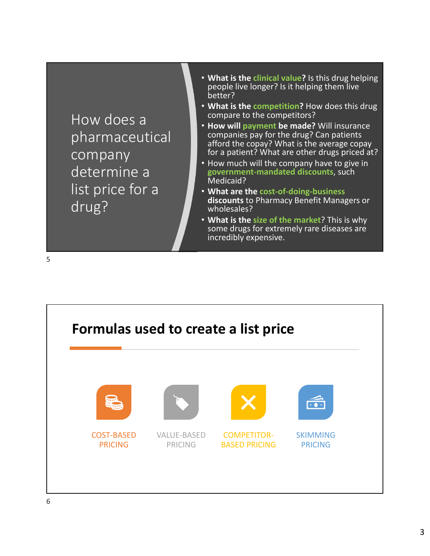How does a pharmaceutical company determine a list price for a drug?

- **What is the clinical value?** Is this drug helping people live longer? Is it helping them live better?
- **What is the competition?** How does this drug compare to the competitors?
- **How will payment be made?** Will insurance companies pay for the drug? Can patients afford the copay? What is the average copay for a patient? What are other drugs priced at?
- How much will the company have to give in **government‐mandated discounts**, such Medicaid?
- **What are the cost‐of‐doing‐business discounts** to Pharmacy Benefit Managers or wholesales?
- **What is the size of the market**? This is why some drugs for extremely rare diseases are incredibly expensive.

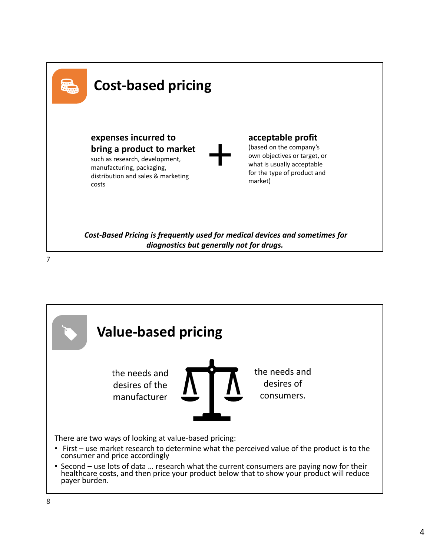

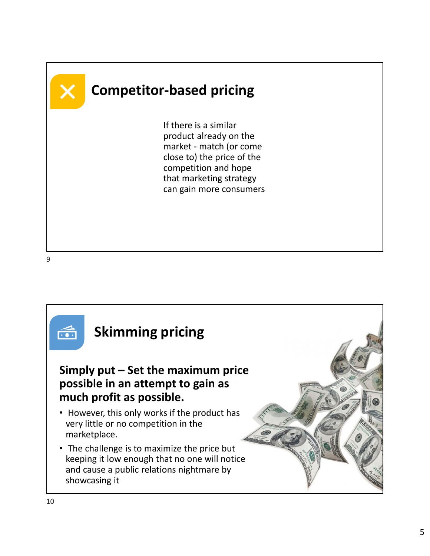

### **Competitor‐based pricing**

If there is a similar product already on the market ‐ match (or come close to) the price of the competition and hope that marketing strategy can gain more consumers

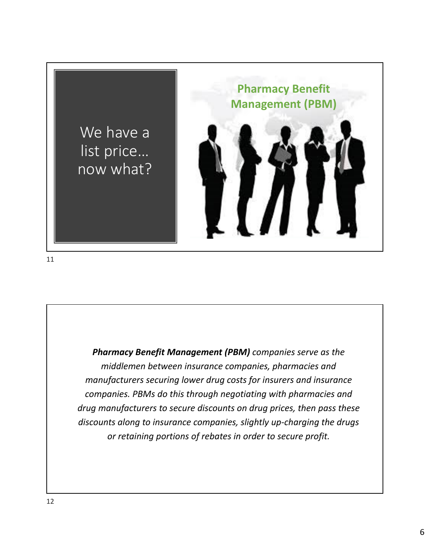

*Pharmacy Benefit Management (PBM) companies serve as the middlemen between insurance companies, pharmacies and manufacturers securing lower drug costs for insurers and insurance companies. PBMs do this through negotiating with pharmacies and drug manufacturers to secure discounts on drug prices, then pass these discounts along to insurance companies, slightly up‐charging the drugs or retaining portions of rebates in order to secure profit.*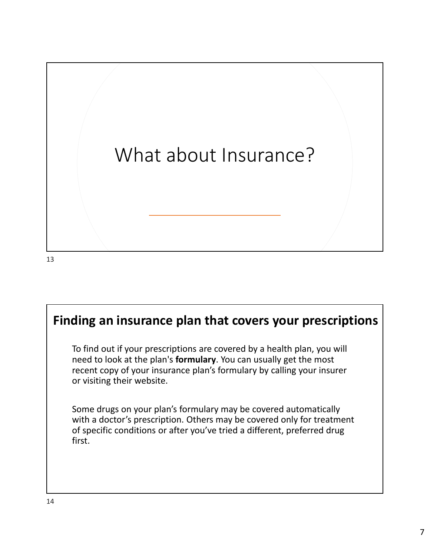

### **Finding an insurance plan that covers your prescriptions**

To find out if your prescriptions are covered by a health plan, you will need to look at the plan's **formulary**. You can usually get the most recent copy of your insurance plan's formulary by calling your insurer or visiting their website.

Some drugs on your plan's formulary may be covered automatically with a doctor's prescription. Others may be covered only for treatment of specific conditions or after you've tried a different, preferred drug first.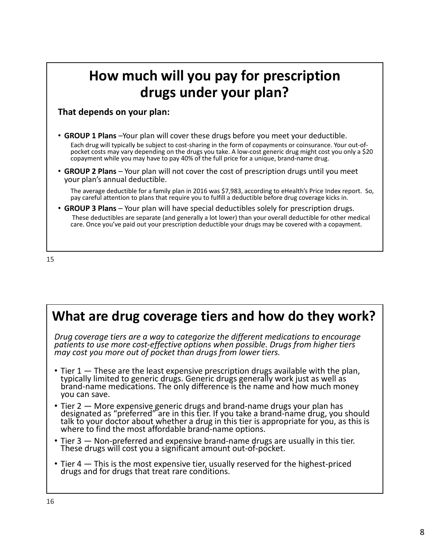### **How much will you pay for prescription drugs under your plan?**

#### **That depends on your plan:**

- **GROUP 1 Plans** –Your plan will cover these drugs before you meet your deductible. Each drug will typically be subject to cost‐sharing in the form of copayments or coinsurance. Your out‐of‐<br>pocket costs may vary depending on the drugs you take. A low‐cost generic drug might cost you only a \$20 copayment while you may have to pay 40% of the full price for a unique, brand‐name drug.
- **GROUP 2 Plans** Your plan will not cover the cost of prescription drugs until you meet your plan's annual deductible.

The average deductible for a family plan in 2016 was \$7,983, according to eHealth's Price Index report. So, pay careful attention to plans that require you to fulfill a deductible before drug coverage kicks in.

• **GROUP 3 Plans** – Your plan will have special deductibles solely for prescription drugs. These deductibles are separate (and generally a lot lower) than your overall deductible for other medical care. Once you've paid out your prescription deductible your drugs may be covered with a copayment.

### **What are drug coverage tiers and how do they work?**

*Drug coverage tiers are a way to categorize the different medications to encourage patients to use more cost‐effective options when possible. Drugs from higher tiers may cost you more out of pocket than drugs from lower tiers.*

- Tier 1 These are the least expensive prescription drugs available with the plan, typically limited to generic drugs. Generic drugs generally work just as well as brand-name medications. The only difference is the name and how much money you can save.
- Tier 2 More expensive generic drugs and brand-name drugs your plan has designated as "preferred" are in this tier. If you take a brand‐name drug, you should talk to your doctor about whether a drug in this tier is appropriate for you, as this is where to find the most affordable brand-name options.
- Tier 3 Non-preferred and expensive brand-name drugs are usually in this tier. These drugs will cost you a significant amount out‐of‐pocket.
- Tier 4 This is the most expensive tier, usually reserved for the highest-priced drugs and for drugs that treat rare conditions.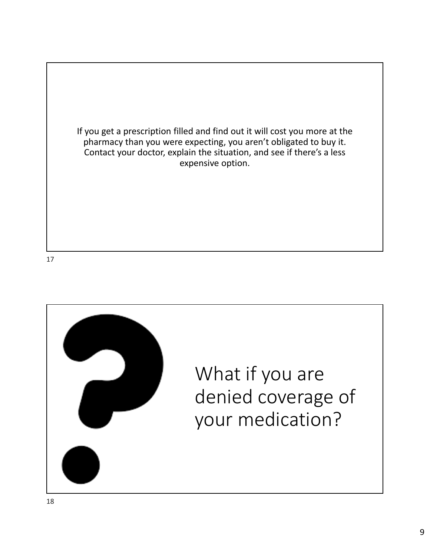If you get a prescription filled and find out it will cost you more at the pharmacy than you were expecting, you aren't obligated to buy it. Contact your doctor, explain the situation, and see if there's a less expensive option.

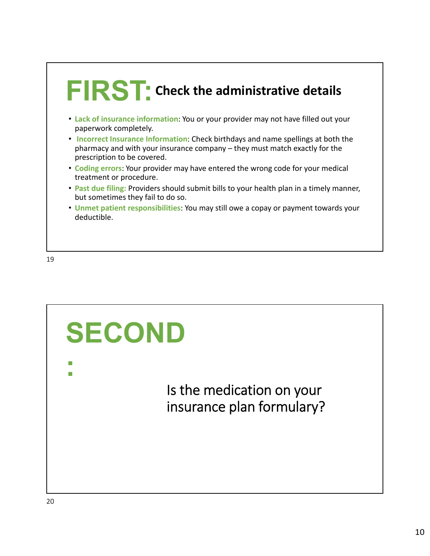

- **Lack of insurance information**: You or your provider may not have filled out your paperwork completely.
- **Incorrect Insurance Information**: Check birthdays and name spellings at both the pharmacy and with your insurance company – they must match exactly for the prescription to be covered.
- **Coding errors**: Your provider may have entered the wrong code for your medical treatment or procedure.
- **Past due filing:** Providers should submit bills to your health plan in a timely manner, but sometimes they fail to do so.
- **Unmet patient responsibilities**: You may still owe a copay or payment towards your deductible.

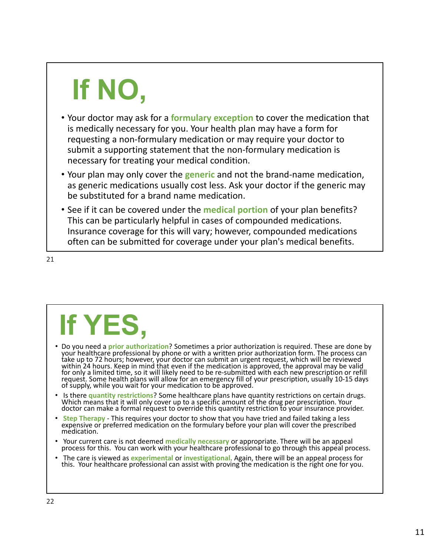# **If NO,**

- Your doctor may ask for a **formulary exception** to cover the medication that is medically necessary for you. Your health plan may have a form for requesting a non‐formulary medication or may require your doctor to submit a supporting statement that the non-formulary medication is necessary for treating your medical condition.
- Your plan may only cover the **generic** and not the brand‐name medication, as generic medications usually cost less. Ask your doctor if the generic may be substituted for a brand name medication.
- See if it can be covered under the **medical portion** of your plan benefits? This can be particularly helpful in cases of compounded medications. Insurance coverage for this will vary; however, compounded medications often can be submitted for coverage under your plan's medical benefits.

21

## **If YES,**

- Do you need a **prior authorization**? Sometimes a prior authorization is required. These are done by your healthcare professional by phone or with a written prior authorization form. The process can take up to 72 hours; however, your doctor can submit an urgent request, which will be reviewed within 24 hours. Keep in mind that even if the medication is approved, the approval may be valid for only a limited time, so it will likely need to be re‐submitted with each new prescription or refill request. Some health plans will allow for an emergency fill of your prescription, usually 10-15 days<br>of supply, while you wait for your medication to be approved.
- Is there **quantity restrictions**? Some healthcare plans have quantity restrictions on certain drugs. Which means that it will only cover up to <sup>a</sup> specific amount of the drug per prescription. Your doctor can make a formal request to override this quantity restriction to your insurance provider.
- **Step Therapy** ‐ This requires your doctor to show that you have tried and failed taking a less expensive or preferred medication on the formulary before your plan will cover the prescribed medication.
- Your current care is not deemed **medically necessary** or appropriate. There will be an appeal process for this. You can work with your healthcare professional to go through this appeal process.
- The care is viewed as **experimental** or **investigational**. Again, there will be an appeal process for this. Your healthcare professional can assist with proving the medication is the right one for you.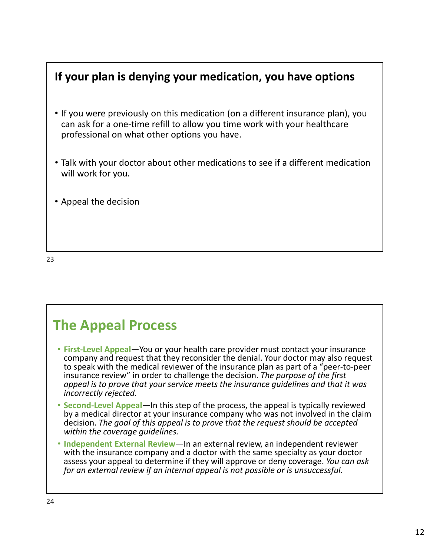### **If your plan is denying your medication, you have options**

- If you were previously on this medication (on a different insurance plan), you can ask for a one‐time refill to allow you time work with your healthcare professional on what other options you have.
- Talk with your doctor about other medications to see if a different medication will work for you.
- Appeal the decision

23

### **The Appeal Process**

- **First‐Level Appeal**—You or your health care provider must contact your insurance company and request that they reconsider the denial. Your doctor may also request to speak with the medical reviewer of the insurance plan as part of a "peer‐to‐peer insurance review" in order to challenge the decision. *The purpose of the first appeal is to prove that your service meets the insurance guidelines and that it was incorrectly rejected.*
- **Second‐Level Appeal**—In this step of the process, the appeal is typically reviewed by a medical director at your insurance company who was not involved in the claim decision. *The goal of this appeal is to prove that the request should be accepted within the coverage guidelines.*
- **Independent External Review**—In an external review, an independent reviewer with the insurance company and a doctor with the same specialty as your doctor assess your appeal to determine if they will approve or deny coverage. *You can ask for an external review if an internal appeal is not possible or is unsuccessful.*